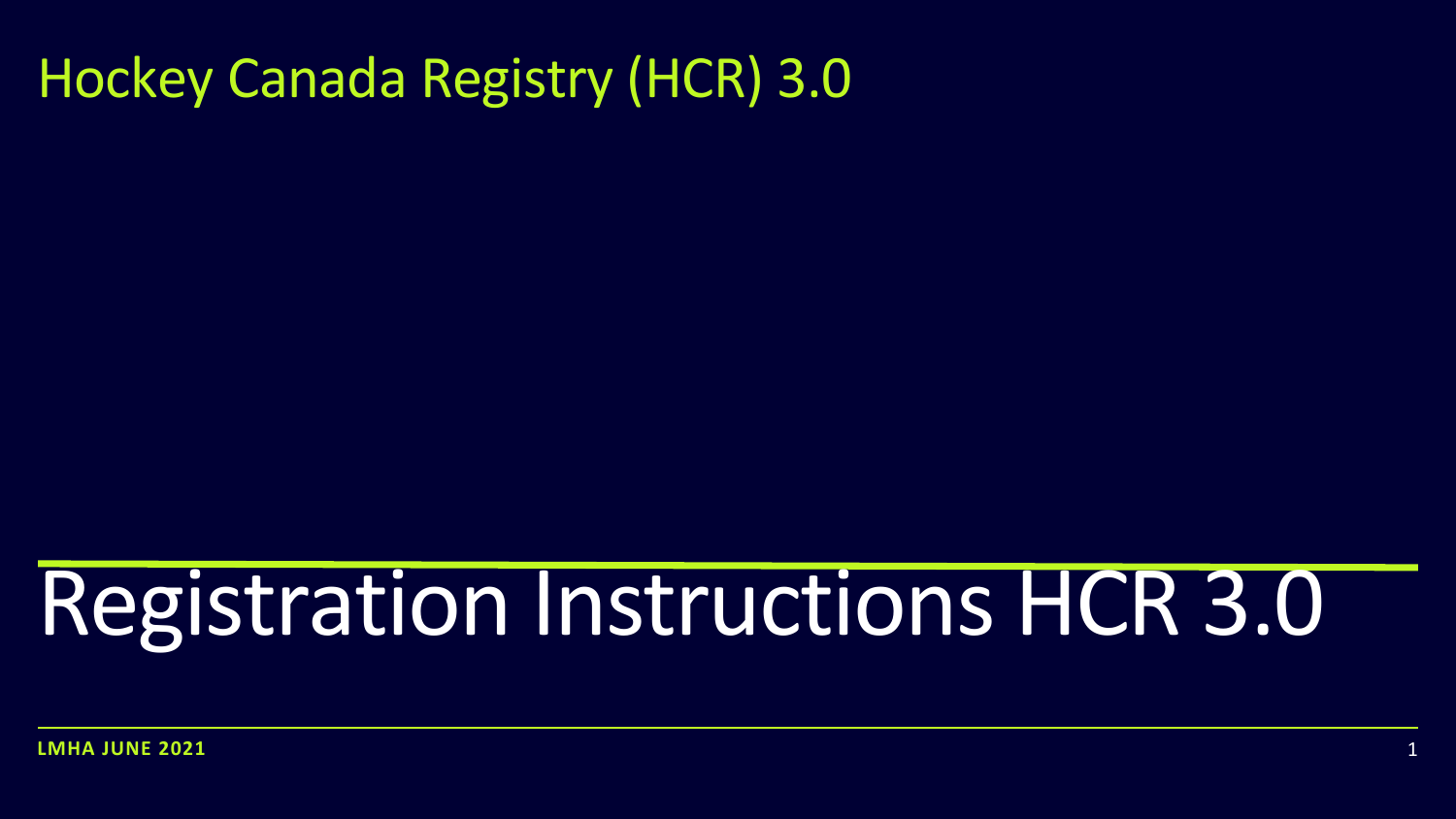

### Registration Instructions HCR 3.0

### Hockey Canada Registry (HCR) 3.0

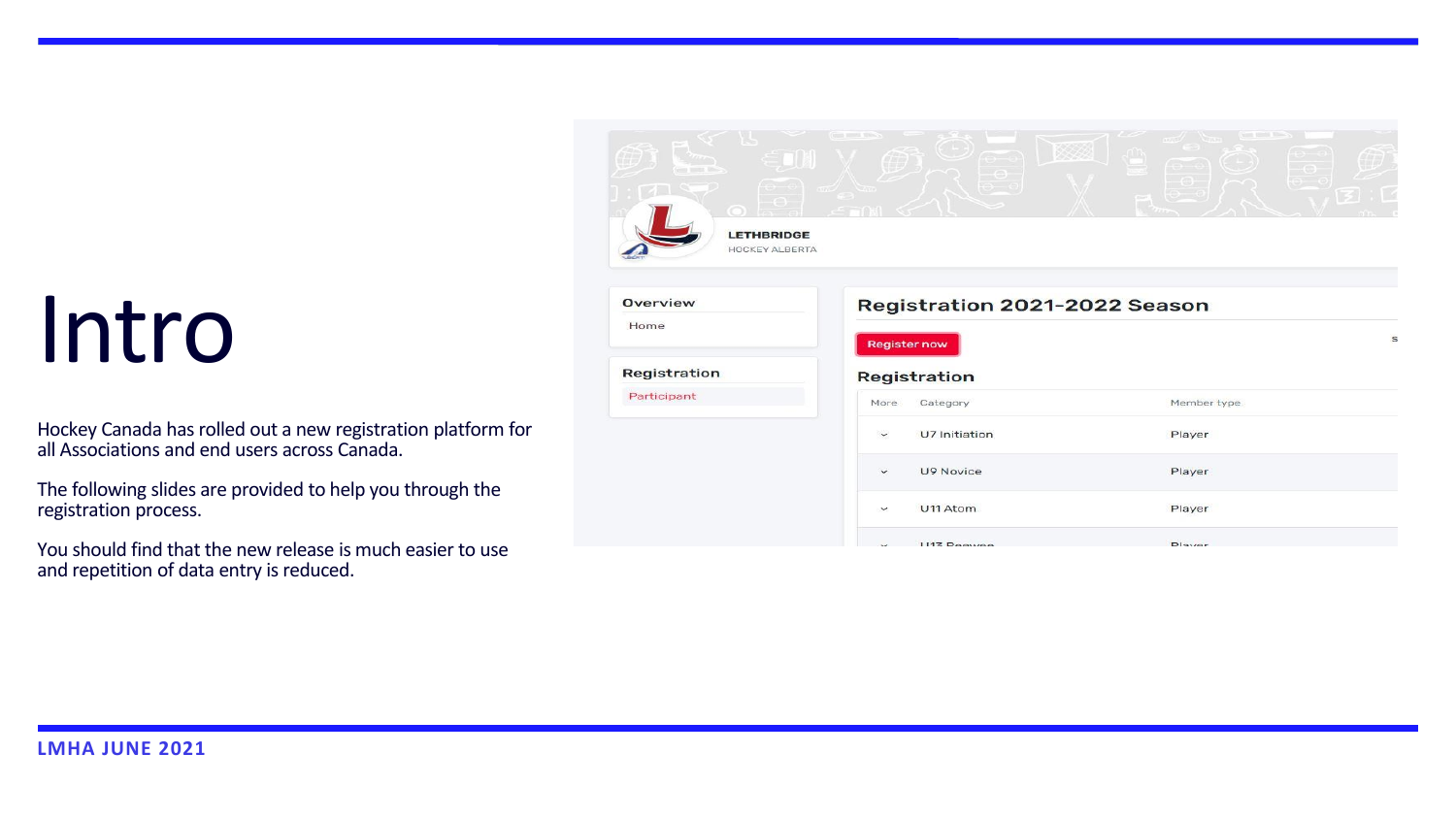### Intro

Hockey Canada has rolled out a new registration platform for all Associations and end users across Canada.

The following slides are provided to help you through the registration process.

You should find that the new release is much easier to use and repetition of data entry is reduced.

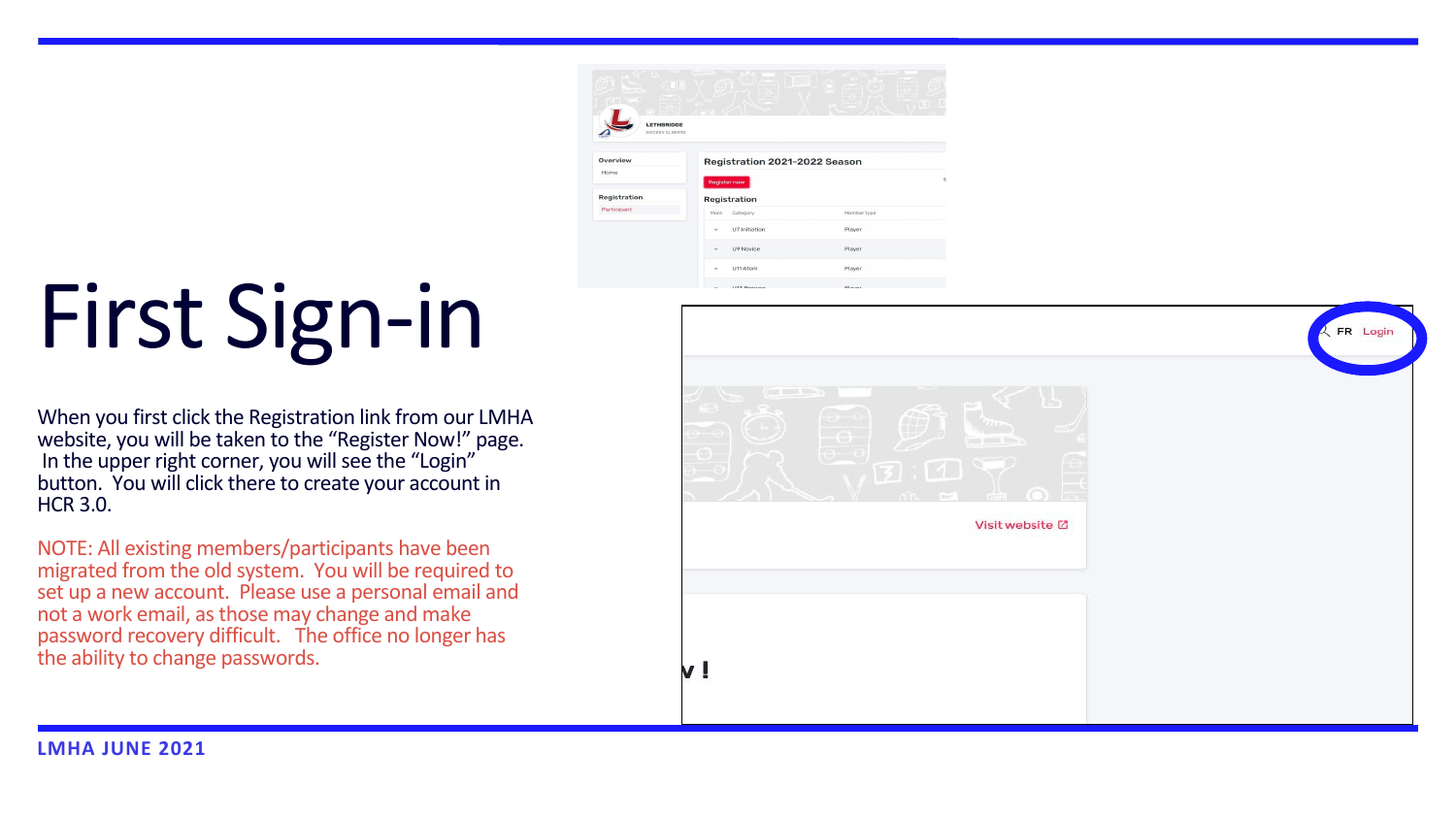



### First Sign-in

When you first click the Registration link from our LMHA website, you will be taken to the "Register Now!" page. In the upper right corner, you will see the "Login" button. You will click there to create your account in HCR 3.0.

NOTE: All existing members/participants have been migrated from the old system. You will be required to set up a new account. Please use a personal email and not a work email, as those may change and make password recovery difficult. The office no longer has the ability to change passwords.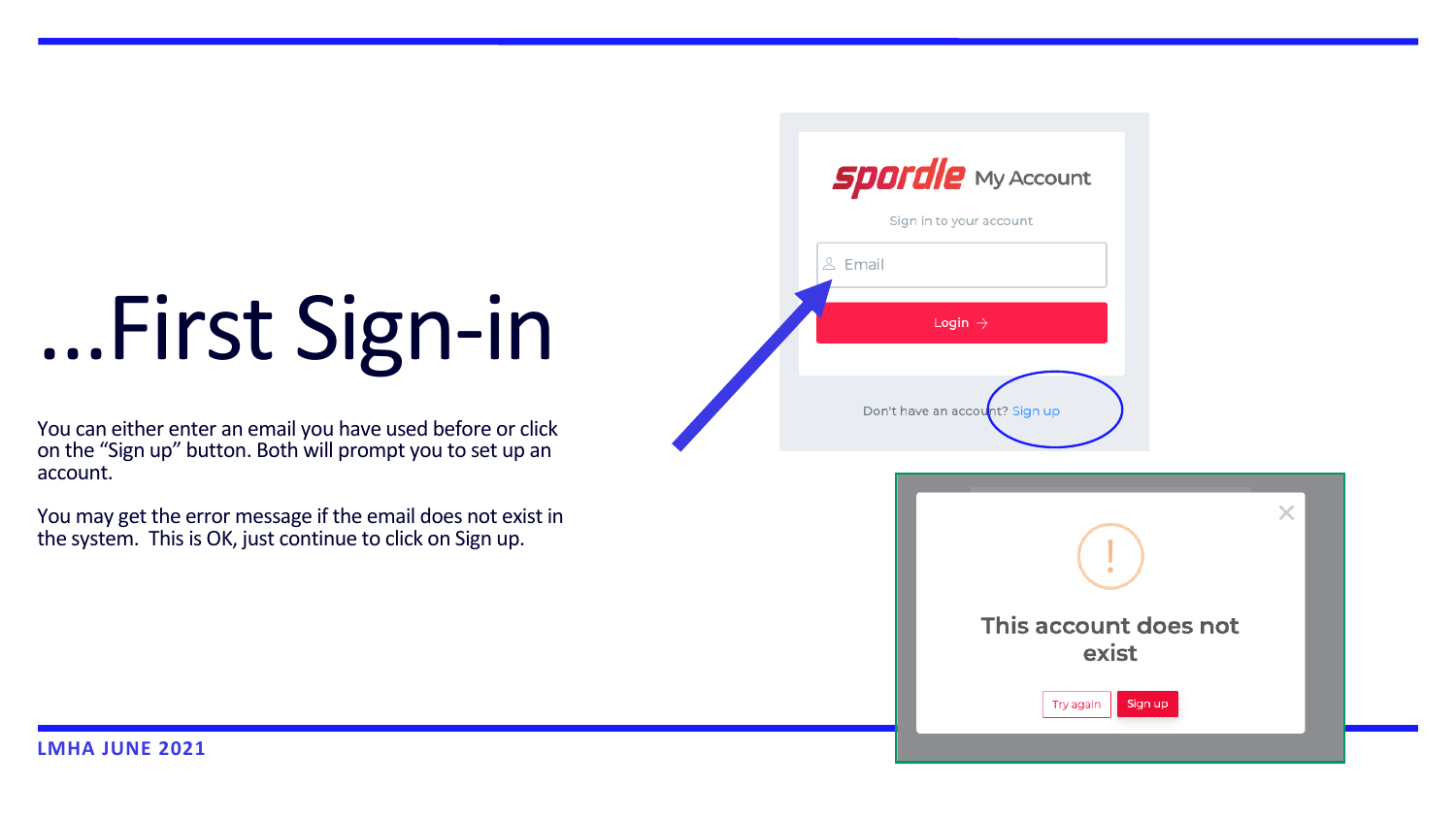| <b>spordle</b> My Account                             |         |
|-------------------------------------------------------|---------|
| Sign in to your account<br>& Email                    |         |
| Login $\rightarrow$<br>Don't have an account? Sign up |         |
|                                                       |         |
|                                                       |         |
| This account does not<br>exist                        |         |
| Try again                                             | Sign up |

### ...First Sign-in

You can either enter an email you have used before or click on the "Sign up" button. Both will prompt you to set up an account.

You may get the error message if the email does not exist in the system. This is OK, just continue to click on Sign up.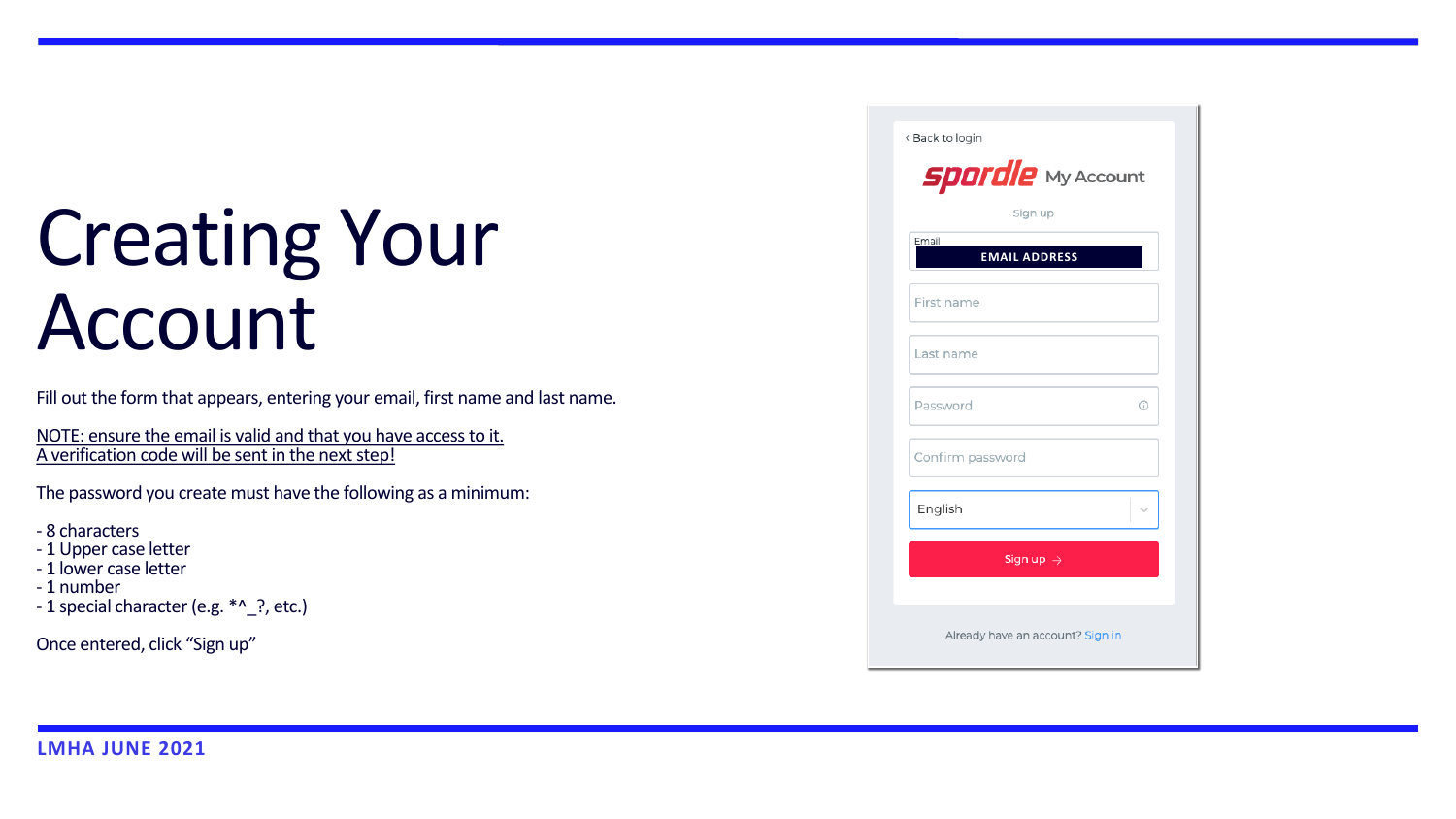### Creating Your Account

NOTE: ensure the email is valid and that you have access to it. A verification code will be sent in the next step!

Fill out the form that appears, entering your email, first name and last name.

- 8 characters
- 1 Upper case letter
- 1 lower case letter
- 1 number
- 1 special character (e.g. \*^\_?, etc.)

The password you create must have the following as a minimum:

Once entered, click "Sign up"

|                  |                      | <b>spordle</b> My Account<br>Sign up |   |
|------------------|----------------------|--------------------------------------|---|
| Email            |                      |                                      |   |
|                  | <b>EMAIL ADDRESS</b> |                                      |   |
| First name       |                      |                                      |   |
|                  |                      |                                      |   |
| Last name        |                      |                                      |   |
| Password         |                      |                                      | ⊕ |
| Confirm password |                      |                                      |   |
| English          |                      |                                      |   |
|                  |                      |                                      |   |
|                  |                      | Sign up $\rightarrow$                |   |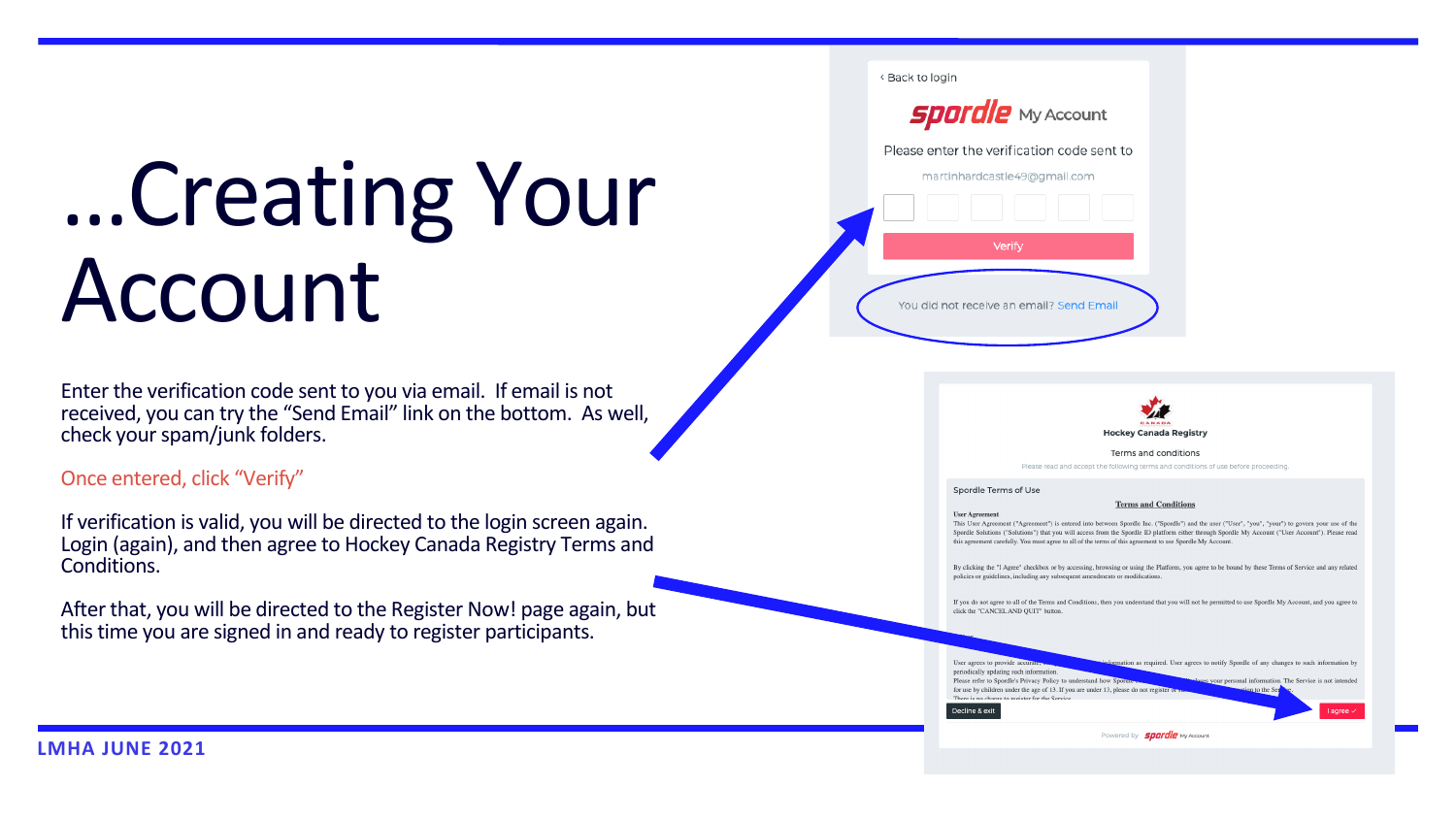< Back to login



Please enter the verification code sent to

martinhardcastle49@gmail.com

| Verify                                   |  |
|------------------------------------------|--|
| You did not receive an email? Send Email |  |



### Terms and conditions

Please read and accept the following terms and conditions of use before proceeding

### Spordle Terms of Use

**User Agreement** 

### **Terms and Conditions**

This User Agreement ("Agreement") is entered into between Spordle Inc. ("Spordle") and the user ("User", "you", "your") to govern your use of the Spordle Solutions ("Solutions") that you will access from the Spordle ID platform either through Spordle My Account ("User Account"). Please read this agreement carefully. You must agree to all of the terms of this agreement to use Spordle My Account.

By clicking the "I Agree" checkbox or by accessing, browsing or using the Platform, you agree to be bound by these Terms of Service and any related policies or guidelines, including any subsequent amendments or modifications.

If you do not agree to all of the Terms and Conditions, then you understand that you will not be permitted to use Spordle My Account, and you agree to click the "CANCEL AND QUIT" button.



Powered by **Spardle** My Account



### …Creating Your Account

Enter the verification code sent to you via email. If email is not received, you can try the "Send Email" link on the bottom. As well, check your spam/junk folders.

Once entered, click "Verify"

If verification is valid, you will be directed to the login screen again. Login (again), and then agree to Hockey Canada Registry Terms and Conditions.

After that, you will be directed to the Register Now! page again, but this time you are signed in and ready to register participants.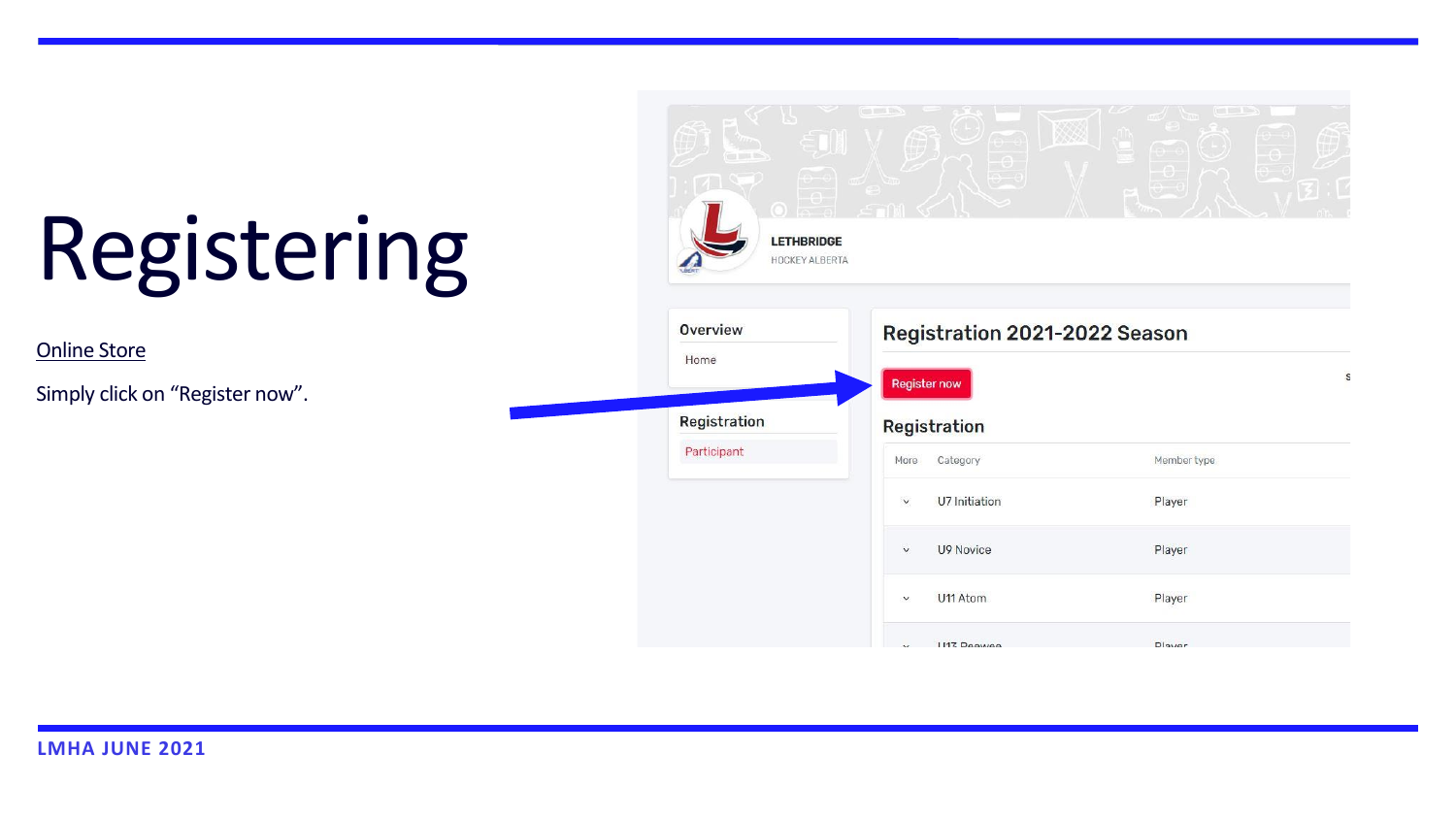



## Registering

**Online Store** 

Simply click on "Register now".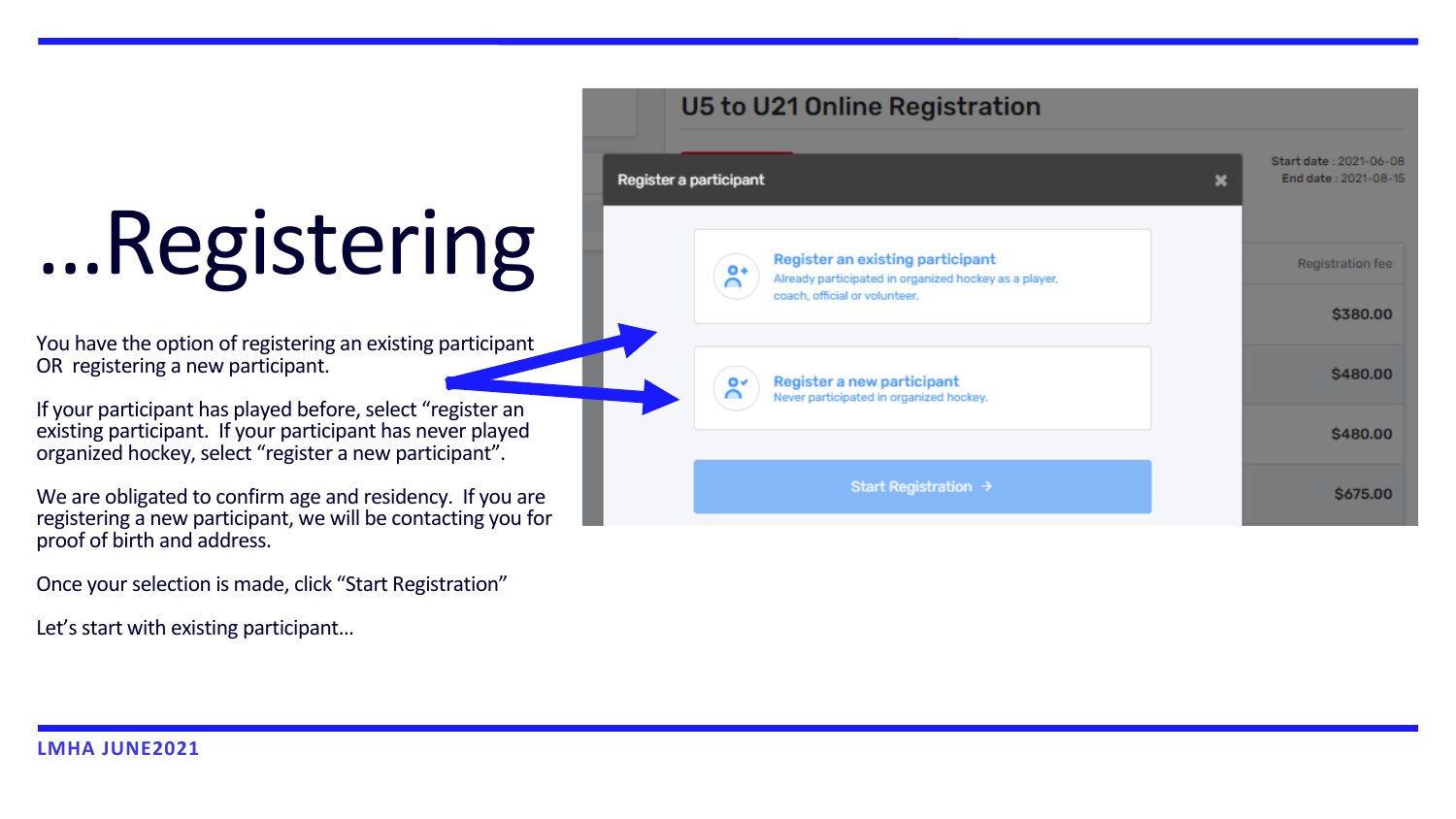### U5 to U21 Online Registration

| a participant                                                                                                         | Start date: 2021<br>End date: 2021 |
|-----------------------------------------------------------------------------------------------------------------------|------------------------------------|
| <b>Register an existing participant</b><br>$\mathsf{R}^\ast$<br>Already participated in organized hockey as a player, | Registration                       |
| coach, official or volunteer.                                                                                         | \$380                              |
| Register a new participant<br>៓<br>Never participated in organized hockey.                                            | \$480                              |
|                                                                                                                       | \$480                              |
| Start Registration →                                                                                                  | \$675                              |



Register

## …Registering

You have the option of registering an existing participant OR registering a new participant.

If your participant has played before, select "register an existing participant. If your participant has never played organized hockey, select "register a new participant".

We are obligated to confirm age and residency. If you are registering a new participant, we will be contacting you for proof of birth and address.

Once your selection is made, click "Start Registration"

Let's start with existing participant…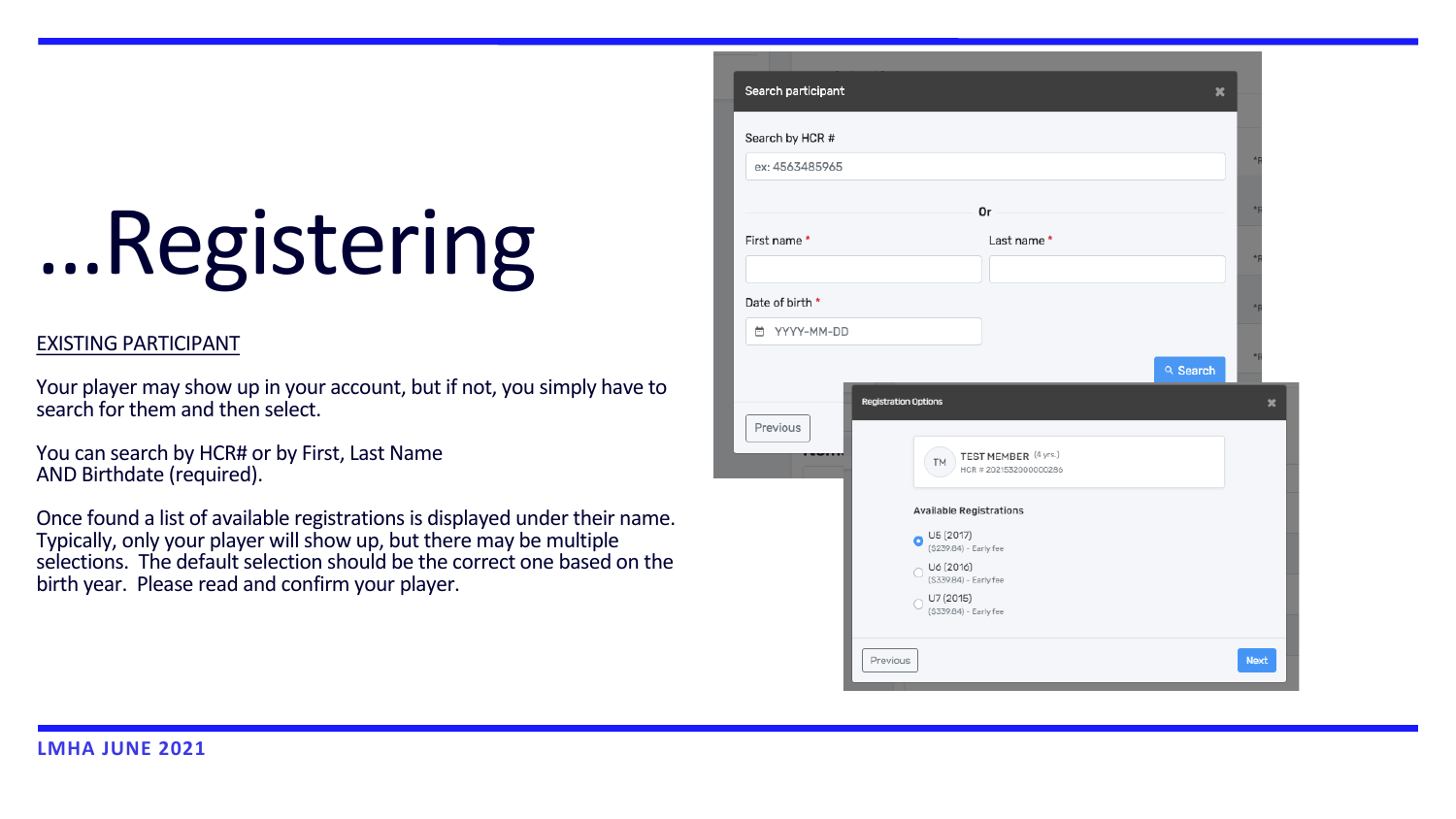| Search participant |                                                                                                      | ×               |
|--------------------|------------------------------------------------------------------------------------------------------|-----------------|
| Search by HCR #    |                                                                                                      |                 |
| ex: 4563485965     |                                                                                                      | $*R$            |
|                    | 0r                                                                                                   | $+P$            |
| First name*        | Last name*                                                                                           |                 |
|                    |                                                                                                      | $*R$            |
| Date of birth *    |                                                                                                      | $*$ p           |
| YYYY-MM-DD<br>茴    |                                                                                                      | * D<br>Q Search |
| Previous           | <b>Registration Options</b><br>TEST MEMBER (4 yrs.)<br>TM.<br>HCR #2021532000000286                  | ×               |
|                    | Available Registrations                                                                              |                 |
|                    | U5 (2017)<br>$\bullet$<br>(\$239.84) - Early fee<br>U6 (2016)<br>$\bigcap$<br>(\$339.84) - Early fee |                 |
|                    | U7 (2015)<br>$\bigcirc$<br>(\$339.84) - Early fee                                                    |                 |
|                    |                                                                                                      |                 |

### EXISTING PARTICIPANT

Your player may show up in your account, but if not, you simply have to search for them and then select.

You can search by HCR# or by First, Last Name AND Birthdate (required).

Once found a list of available registrations is displayed under their name. Typically, only your player will show up, but there may be multiple selections. The default selection should be the correct one based on the birth year. Please read and confirm your player.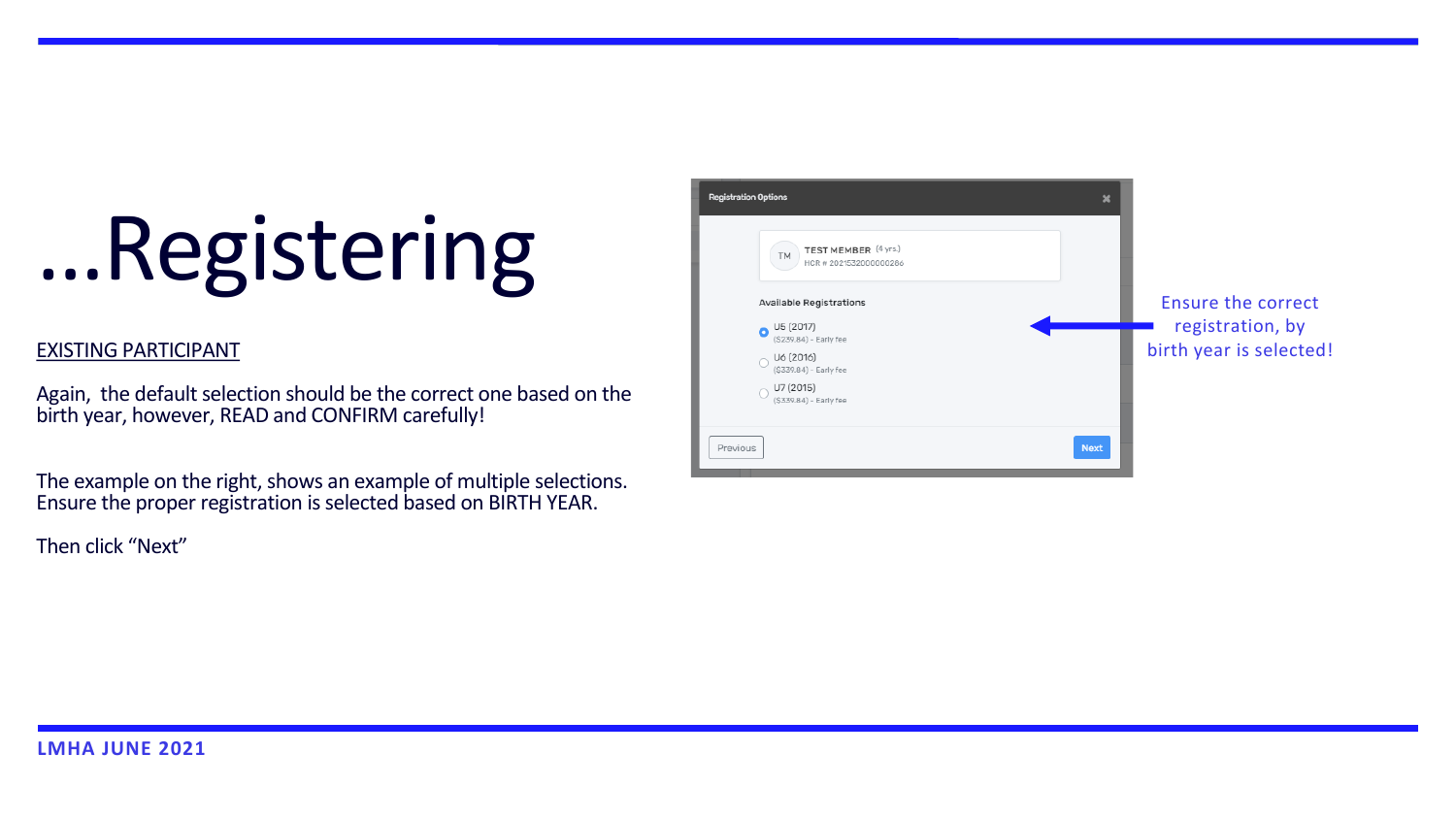# …Registering

### EXISTING PARTICIPANT

Again, the default selection should be the correct one based on the birth year, however, READ and CONFIRM carefully!

The example on the right, shows an example of multiple selections. Ensure the proper registration is selected based on BIRTH YEAR.

Then click "Next"

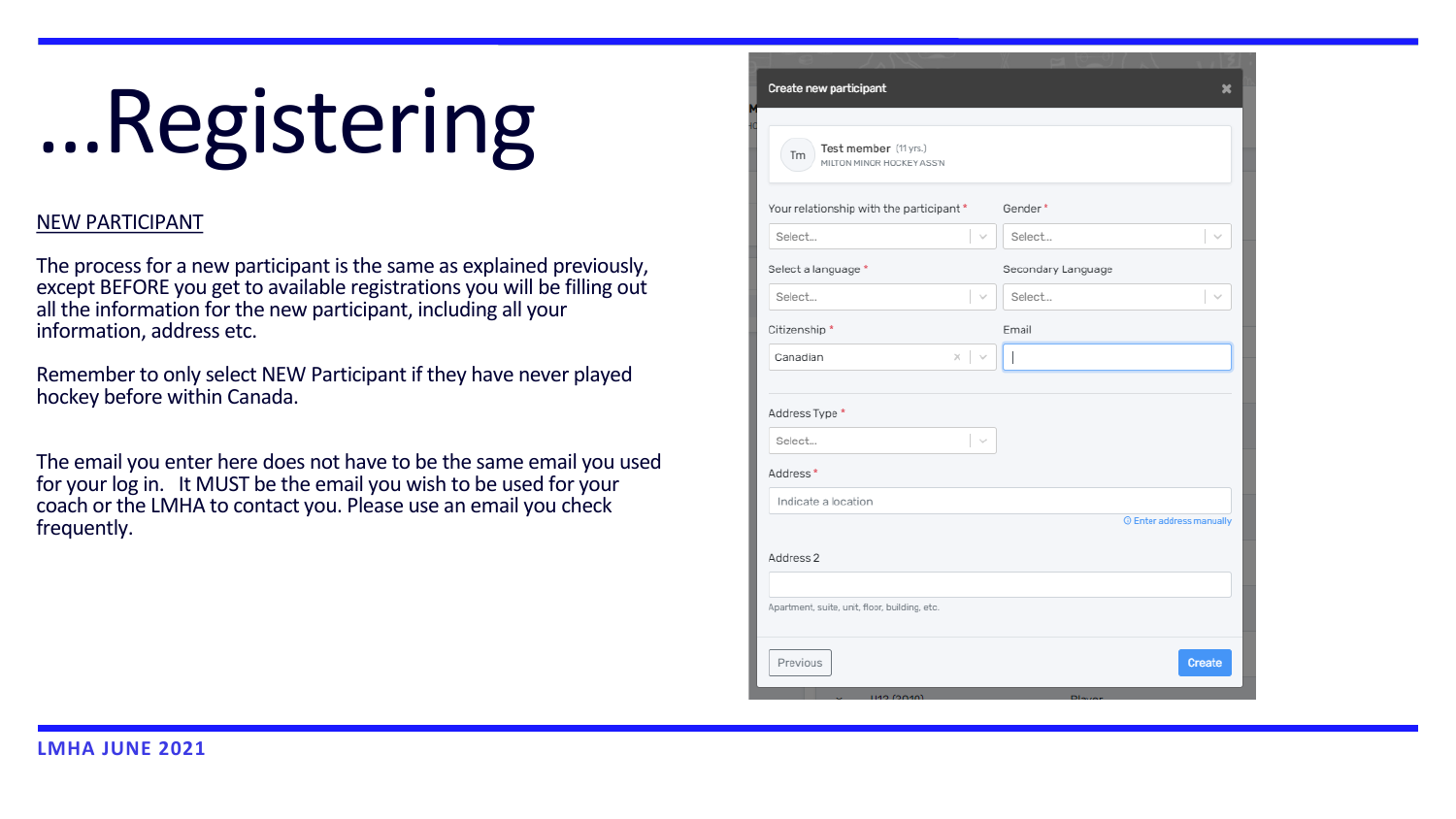| Create new participant                                          |                              |
|-----------------------------------------------------------------|------------------------------|
|                                                                 |                              |
| Test member (11 yrs.)<br><b>Tm</b><br>MILTON MINOR HOCKEY ASS'N |                              |
| Your relationship with the participant *                        | Gender *                     |
| Select<br>$\gamma_{ij}$                                         | Select<br>$\gamma_{ij}$      |
| Select a language *                                             | Secondary Language           |
| Select<br>$\gamma_{ij}$                                         | Select<br>$\gamma_{ij} \rho$ |
| Citizenship*                                                    | Email                        |
| $\mathbb{X}^-$<br>Canadian<br>$\gamma_{\rm eff}$                |                              |
|                                                                 |                              |
| Address Type *                                                  |                              |
| Select<br>$\gamma_{ij}$                                         |                              |
| Address <sup>*</sup>                                            |                              |
| Indicate a location                                             |                              |
|                                                                 | © Enter address manually     |
| Address 2                                                       |                              |
|                                                                 |                              |
| Apartment, suite, unit, floor, building, etc.                   |                              |
| Previous                                                        | Create                       |
| 1112 (2010)                                                     | <b>Dloyar</b>                |

### NEW PARTICIPANT

The process for a new participant is the same as explained previously, except BEFORE you get to available registrations you will be filling out all the information for the new participant, including all your information, address etc.

Remember to only select NEW Participant if they have never played hockey before within Canada.

The email you enter here does not have to be the same email you used for your log in. It MUST be the email you wish to be used for your coach or the LMHA to contact you. Please use an email you check frequently.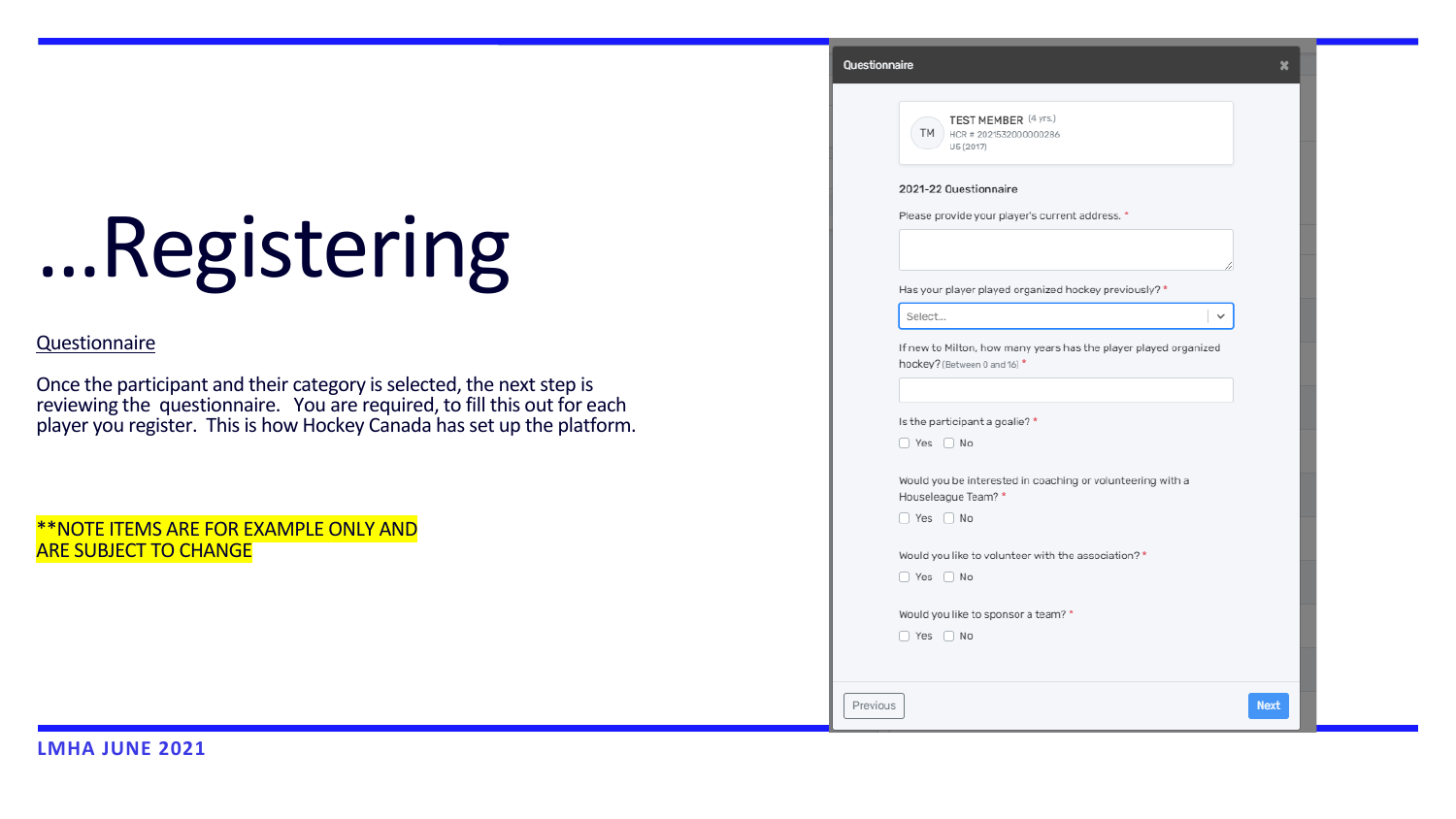| Questionnaire                                                                                    |             |
|--------------------------------------------------------------------------------------------------|-------------|
| TEST MEMBER (4 yrs.)<br><b>TM</b><br>HCR #2021532000000286<br>U5 (2017)                          |             |
| 2021-22 Questionnaire                                                                            |             |
| Please provide your player's current address. *                                                  |             |
| Has your player played organized hockey previously? *                                            |             |
| Select                                                                                           | v           |
| If new to Milton, how many years has the player played organized<br>hockey? (Between 0 and 16) * |             |
| Is the participant a goalie? *                                                                   |             |
| Yes no                                                                                           |             |
| Would you be interested in coaching or volunteering with a<br>Houseleague Team? *                |             |
| Yes $\Box$ No                                                                                    |             |
| Would you like to volunteer with the association? *<br>Yes $\Box$ No                             |             |
| Would you like to sponsor a team? *                                                              |             |
| Yes<br>$\cap$ No                                                                                 |             |
| Previous                                                                                         | <b>Next</b> |
|                                                                                                  |             |

### …Registering

**Questionnaire** 

Once the participant and their category is selected, the next step is reviewing the questionnaire. You are required, to fill this out for each player you register. This is how Hockey Canada has set up the platform.

\*\*NOTE ITEMS ARE FOR EXAMPLE ONLY AND ARE SUBJECT TO CHANGE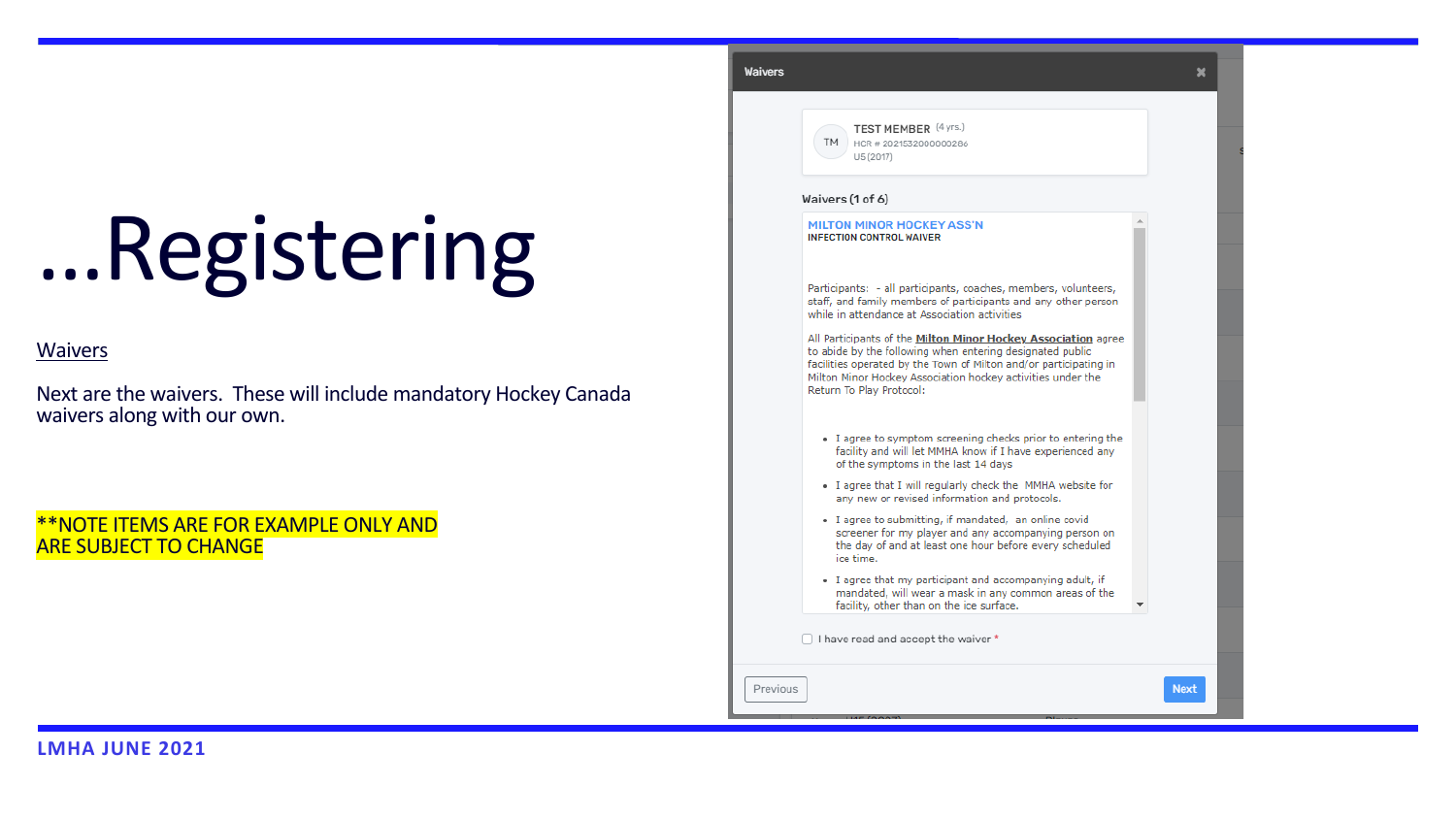|  |  | Waivers |
|--|--|---------|
|  |  |         |
|  |  |         |

TEST MEMBER (4 yrs.) TM HCR # 2021532000000286 U5 (2017)

### Waivers (1 of 6)

### **MILTON MINOR HOCKEY ASS'N INFECTION CONTROL WAIVER**

Participants: - all participants, coaches, members, volunteers, staff, and family members of participants and any other person while in attendance at Association activities

All Participants of the Milton Minor Hockey Association agree to abide by the following when entering designated public facilities operated by the Town of Milton and/or participating in Milton Minor Hockey Association hockey activities under the Return To Play Protocol:

- . I agree to symptom screening checks prior to entering the facility and will let MMHA know if I have experienced any of the symptoms in the last 14 days
- . I agree that I will regularly check the MMHA website for any new or revised information and protocols.
- . I agree to submitting, if mandated, an online covid screener for my player and any accompanying person on the day of and at least one hour before every scheduled ice time.
- . I agree that my participant and accompanying adult, if mandated, will wear a mask in any common areas of the facility, other than on the ice surface.

□ I have read and accept the waiver \*

Previous

**Next** 

## …Registering

**Waivers** 

Next are the waivers. These will include mandatory Hockey Canada waivers along with our own.

\*\*NOTE ITEMS ARE FOR EXAMPLE ONLY AND ARE SUBJECT TO CHANGE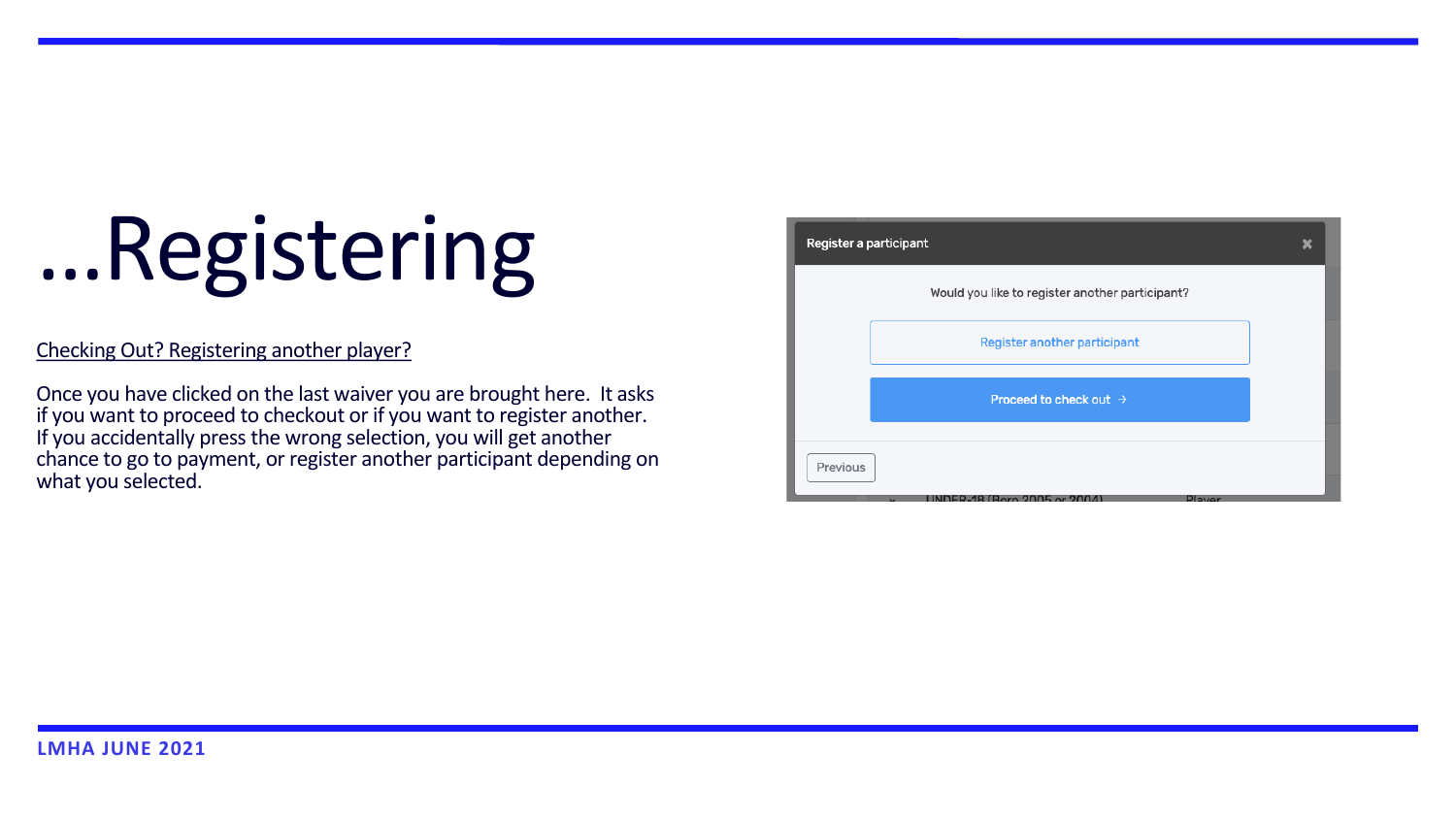

Checking Out? Registering another player?

Once you have clicked on the last waiver you are brought here. It asks if you want to proceed to checkout or if you want to register another. If you accidentally press the wrong selection, you will get another chance to go to payment, or register another participant depending on what you selected.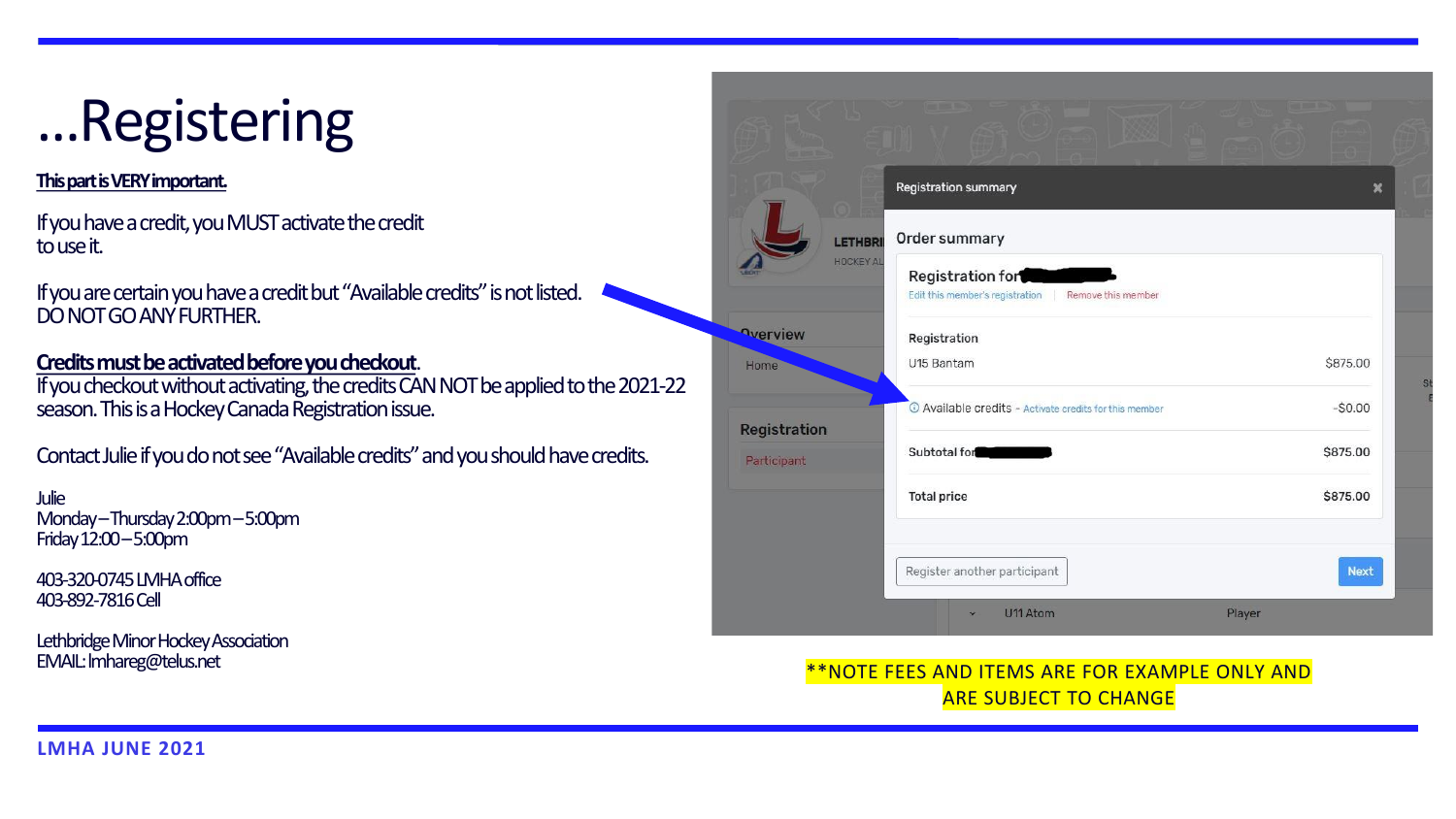| <b>LETHBRI</b>          | Registration summary<br>Order summary                                     |            |
|-------------------------|---------------------------------------------------------------------------|------------|
| <b>HOCKEY AL</b>        | Registration for<br>Edit this member's registration<br>Remove this member |            |
| <b>Qverview</b><br>Home | Registration<br>U15 Bantam                                                | \$875.00   |
| Registration            | 10 Available credits - Activate credits for this member                   | $-$0.00$   |
| Participant             | Subtotal for                                                              | \$875.00   |
|                         | <b>Total price</b>                                                        | \$875.00   |
|                         | Register another participant                                              | <b>Nex</b> |
|                         | U11 Atom<br>×                                                             | Player     |

**This part is VERY important.**

If you have a credit, you MUST activate the credit to use it.

If you are certain you have a credit but "Available credits" is not listed. DO NOT GO ANY FURTHER.



### **Credits must be activated before you checkout**.

If you checkout without activating, the credits CAN NOT be applied to the 2021-22 season. This is a Hockey Canada Registration issue.

### **\*\*NOTE FEES AND ITEMS ARE FOR EXAMPLE ONLY AND** ARE SUBJECT TO CHANGE



Contact Julie if you do not see "Available credits" and you should have credits.

Julie Monday –Thursday 2:00pm –5:00pm Friday 12:00 –5:00pm

403-320-0745 LMHA office 403-892-7816 Cell

Lethbridge Minor Hockey Association<br>EMAIL: Imhareg@telus.net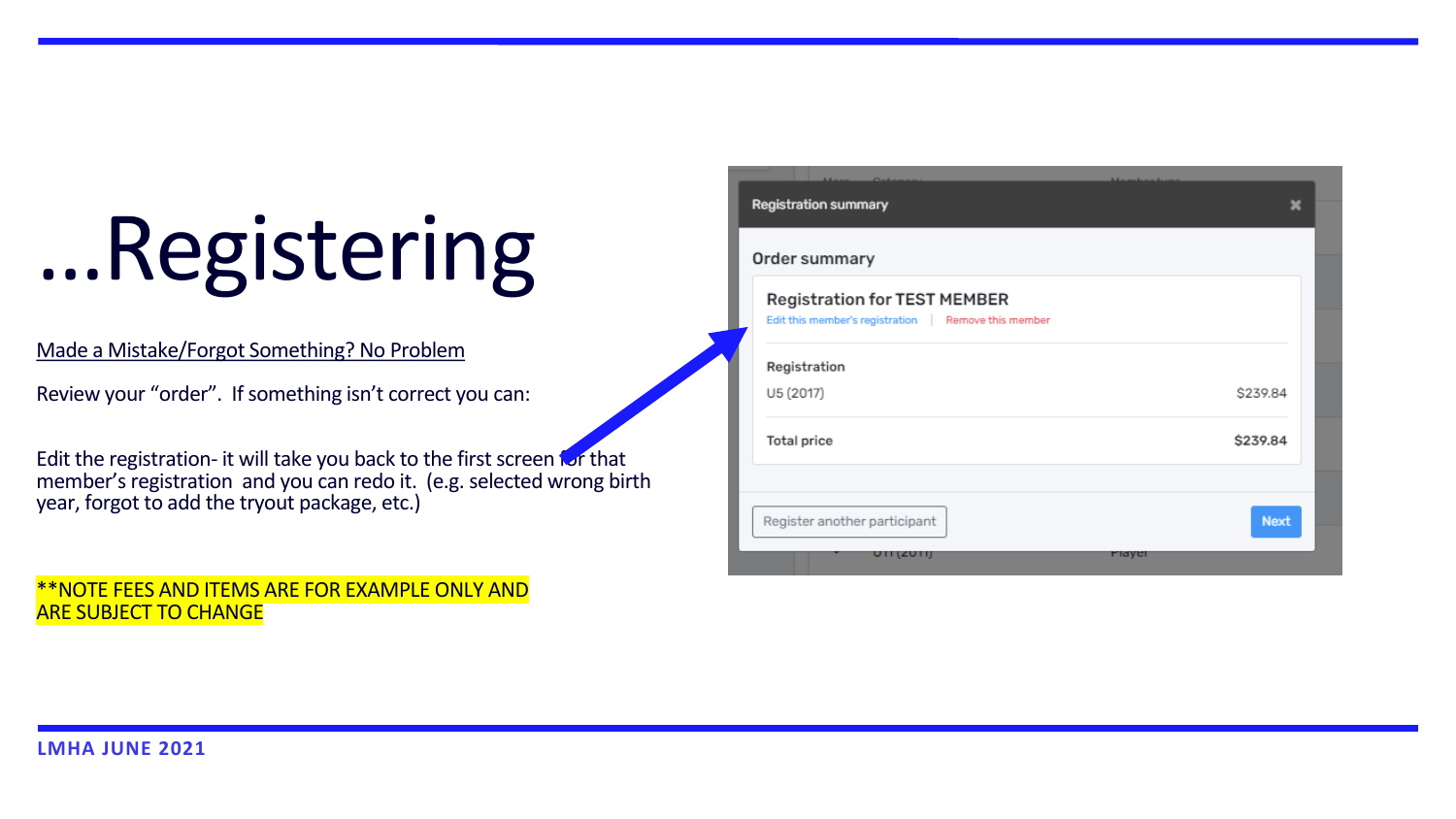| Ontanno<br><b>Edition of the complete state</b><br>Registration summary                   | ×        |  |
|-------------------------------------------------------------------------------------------|----------|--|
| Order summary                                                                             |          |  |
| <b>Registration for TEST MEMBER</b><br>Edit this member's registration Remove this member |          |  |
| Registration                                                                              |          |  |
| U5 (2017)                                                                                 | \$239.84 |  |
| <b>Total price</b>                                                                        | \$239.84 |  |
|                                                                                           |          |  |
| Register another participant                                                              | Next     |  |
| טזו נצטוון<br>rayer                                                                       |          |  |

# …Registering

Made a Mistake/Forgot Something? No Problem

Review your "order". If something isn't correct you can:

Edit the registration- it will take you back to the first screen for that member's registration and you can redo it. (e.g. selected wrong birth year, forgot to add the tryout package, etc.)

\*\*NOTE FEES AND ITEMS ARE FOR EXAMPLE ONLY AND ARE SUBJECT TO CHANGE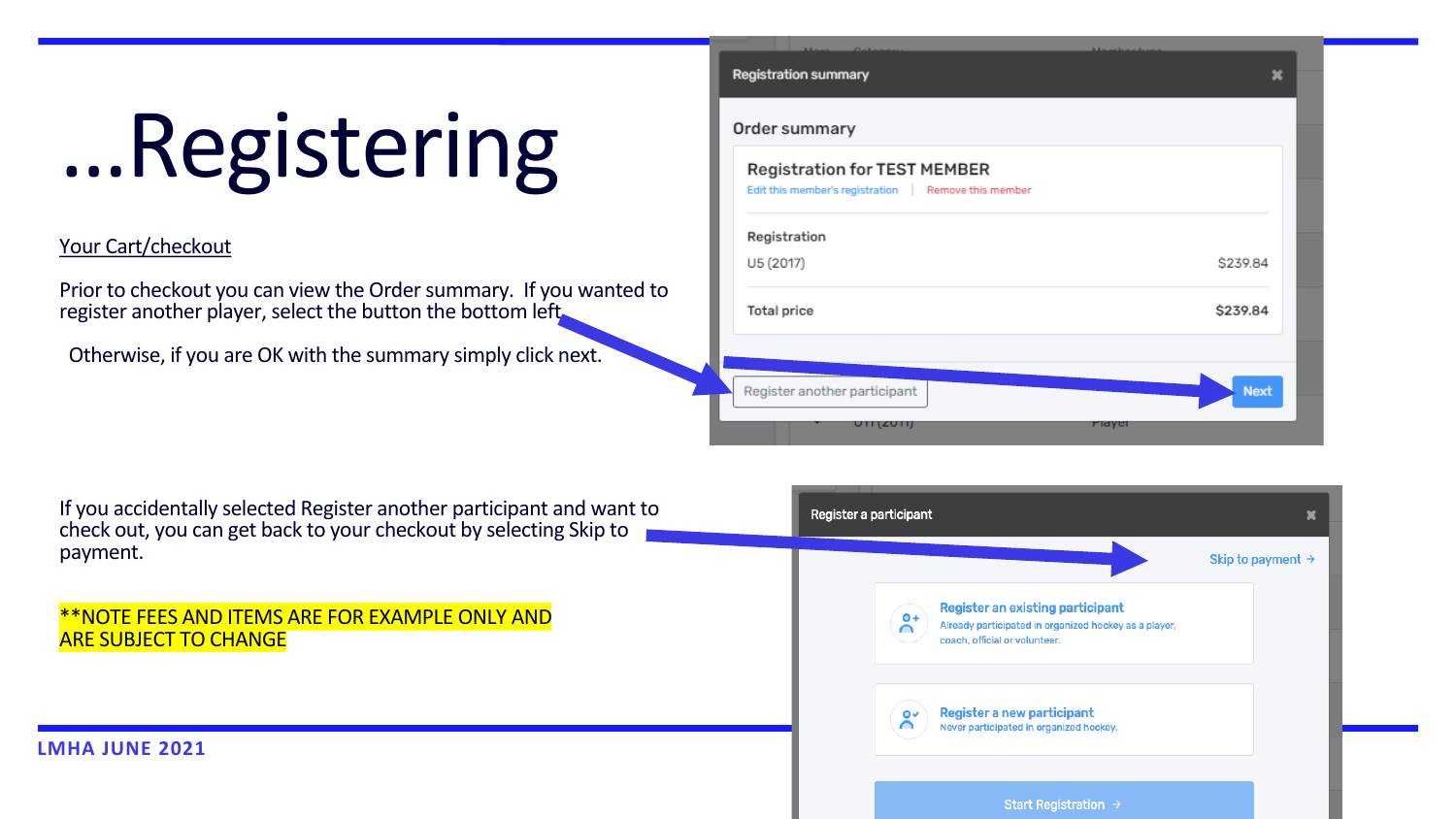



### …Registering

Your Cart/checkout

Prior to checkout you can view the Order summary. If you wanted to register another player, select the button the bottom left.

Otherwise, if you are OK with the summary simply click next.

If you accidentally selected Register another participant and want to check out, you can get back to your checkout by selecting Skip to payment.

\*\*NOTE FEES AND ITEMS ARE FOR EXAMPLE ONLY AND ARE SUBJECT TO CHANGE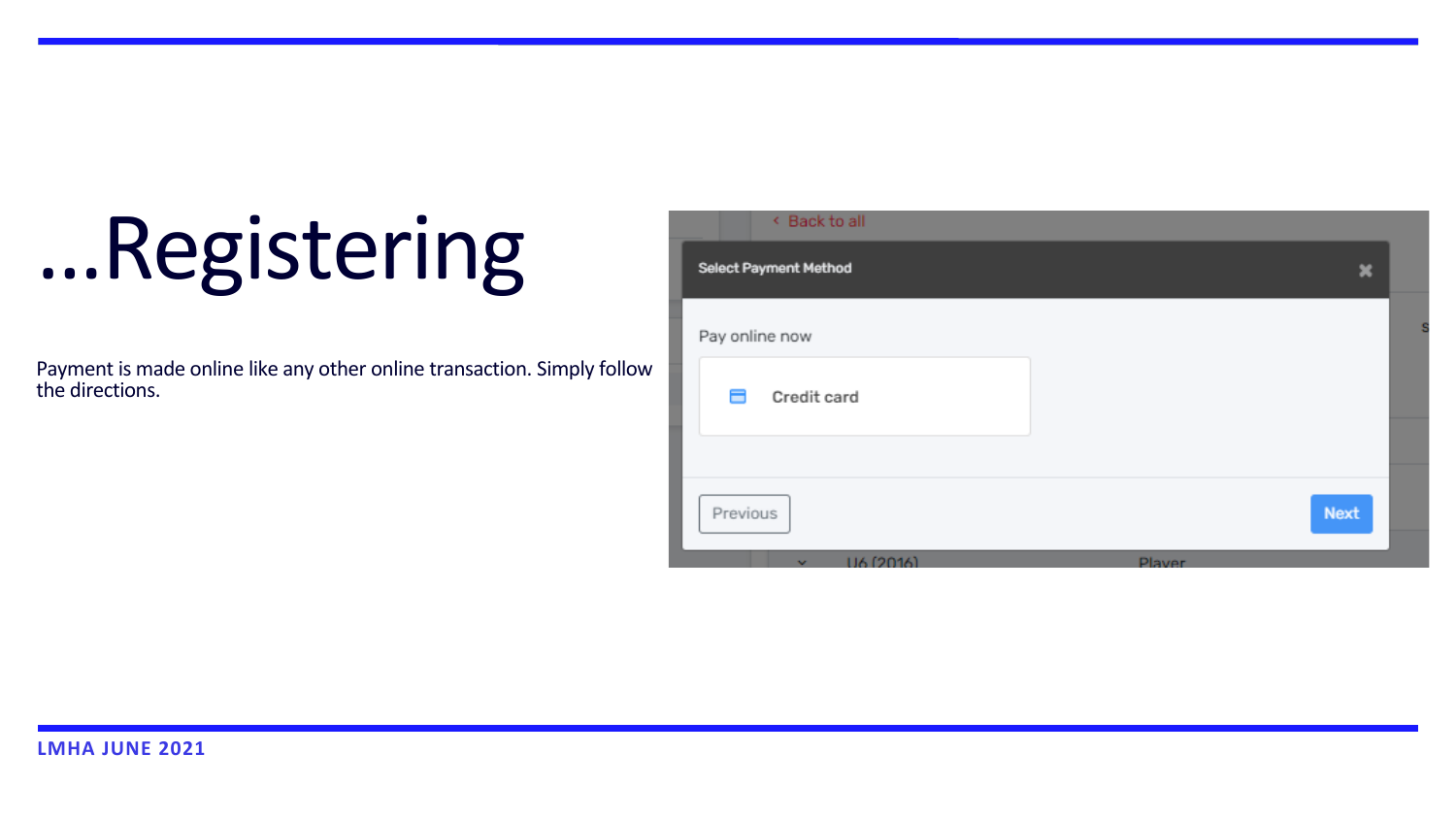| < Back to all         |        |
|-----------------------|--------|
| Select Payment Method |        |
| Pay online now        |        |
| Ħ<br>Credit card      |        |
|                       |        |
| Previous              | Next   |
| U6 (2016)<br>NC.      | Player |



### …Registering

Payment is made online like any other online transaction. Simply follow the directions.